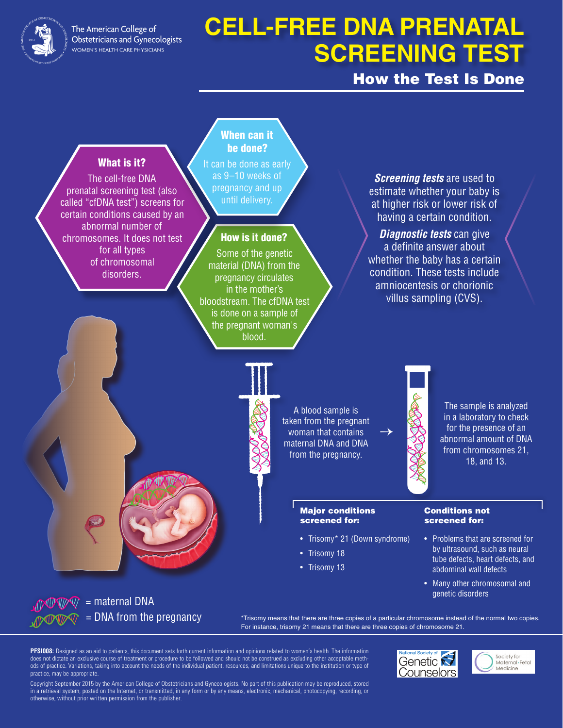

The American College of **Obstetricians and Gynecologists** WOMEN'S HEALTH CARE PHYSICIANS

# **CELL-FREE DNA PRENATAL SCREENING TEST**

# How the Test Is Done

### What is it?

The cell-free DNA prenatal screening test (also called "cfDNA test") screens for certain conditions caused by an abnormal number of chromosomes. It does not test for all types of chromosomal disorders.

### When can it be done?

It can be done as early as 9–10 weeks of pregnancy and up until delivery.

### How is it done?

Some of the genetic material (DNA) from the pregnancy circulates in the mother's bloodstream. The cfDNA test is done on a sample of the pregnant woman's blood.

*Screening tests* are used to estimate whether your baby is at higher risk or lower risk of having a certain condition.

*Diagnostic tests* can give a definite answer about whether the baby has a certain condition. These tests include amniocentesis or chorionic villus sampling (CVS).



A blood sample is taken from the pregnant woman that contains maternal DNA and DNA from the pregnancy.

→

#### Major conditions screened for:

- Trisomy\* 21 (Down syndrome)
- Trisomy 18
- Trisomy 13

The sample is analyzed in a laboratory to check for the presence of an abnormal amount of DNA from chromosomes 21, 18, and 13.

#### Conditions not screened for:

- Problems that are screened for by ultrasound, such as neural tube defects, heart defects, and abdominal wall defects
- Many other chromosomal and genetic disorders

 $\frac{1}{2}$  M/V/W/V/ = maternal DNA = DNA from the pregnancy

\*Trisomy means that there are three copies of a particular chromosome instead of the normal two copies. For instance, trisomy 21 means that there are three copies of chromosome 21.

**PFSI008:** Designed as an aid to patients, this document sets forth current information and opinions related to women's health. The information does not dictate an exclusive course of treatment or procedure to be followed and should not be construed as excluding other acceptable methods of practice. Variations, taking into account the needs of the individual patient, resources, and limitations unique to the institution or type of practice, may be appropriate.

Copyright September 2015 by the American College of Obstetricians and Gynecologists. No part of this publication may be reproduced, stored in a retrieval system, posted on the Internet, or transmitted, in any form or by any means, electronic, mechanical, photocopying, recording, or otherwise, without prior written permission from the publisher.